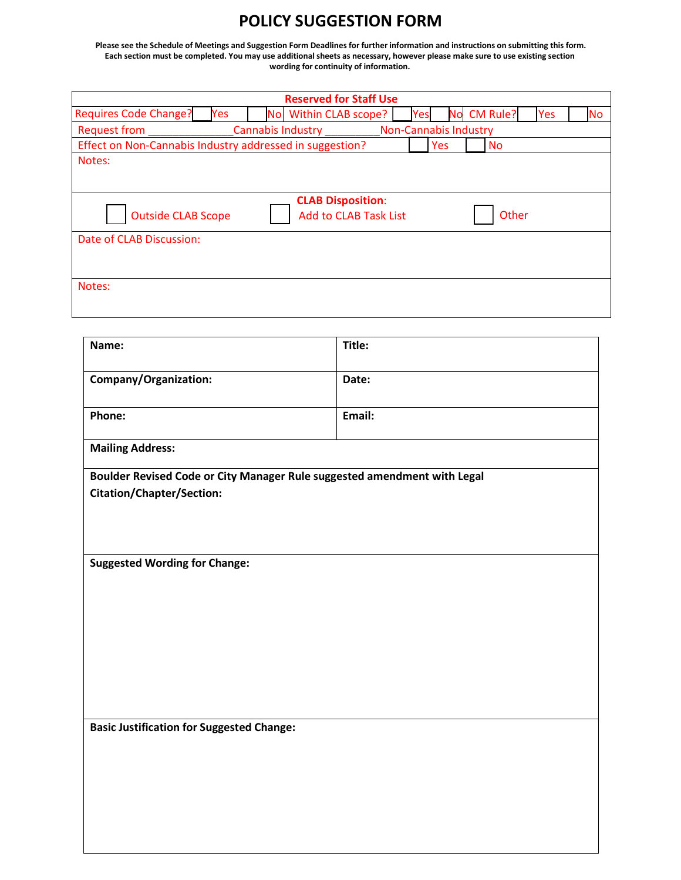## **POLICY SUGGESTION FORM**

Please see the Schedule of Meetings and Suggestion Form Deadlines for further information and instructions on submitting this form. Each section must be completed. You may use additional sheets as necessary, however please make sure to use existing section **wording for continuity of information.**

| <b>Reserved for Staff Use</b>                                                                  |                       |     |    |                 |     |           |  |  |
|------------------------------------------------------------------------------------------------|-----------------------|-----|----|-----------------|-----|-----------|--|--|
| <b>Requires Code Change?</b><br>Yes                                                            | No Within CLAB scope? | Yes | Nο | <b>CM Rule?</b> | Yes | <b>No</b> |  |  |
| <b>Request from</b><br>Cannabis Industry<br><b>Non-Cannabis Industry</b>                       |                       |     |    |                 |     |           |  |  |
| Effect on Non-Cannabis Industry addressed in suggestion?<br>Yes                                |                       |     |    |                 |     |           |  |  |
| Notes:                                                                                         |                       |     |    |                 |     |           |  |  |
|                                                                                                |                       |     |    |                 |     |           |  |  |
| <b>CLAB Disposition:</b><br>Other<br><b>Outside CLAB Scope</b><br><b>Add to CLAB Task List</b> |                       |     |    |                 |     |           |  |  |
| Date of CLAB Discussion:                                                                       |                       |     |    |                 |     |           |  |  |
|                                                                                                |                       |     |    |                 |     |           |  |  |
| Notes:                                                                                         |                       |     |    |                 |     |           |  |  |
|                                                                                                |                       |     |    |                 |     |           |  |  |

| Name:                                            | Title:                                                                   |
|--------------------------------------------------|--------------------------------------------------------------------------|
| Company/Organization:                            | Date:                                                                    |
| Phone:                                           | Email:                                                                   |
| <b>Mailing Address:</b>                          |                                                                          |
|                                                  | Boulder Revised Code or City Manager Rule suggested amendment with Legal |
| <b>Citation/Chapter/Section:</b>                 |                                                                          |
|                                                  |                                                                          |
|                                                  |                                                                          |
| <b>Suggested Wording for Change:</b>             |                                                                          |
|                                                  |                                                                          |
|                                                  |                                                                          |
|                                                  |                                                                          |
|                                                  |                                                                          |
|                                                  |                                                                          |
|                                                  |                                                                          |
|                                                  |                                                                          |
| <b>Basic Justification for Suggested Change:</b> |                                                                          |
|                                                  |                                                                          |
|                                                  |                                                                          |
|                                                  |                                                                          |
|                                                  |                                                                          |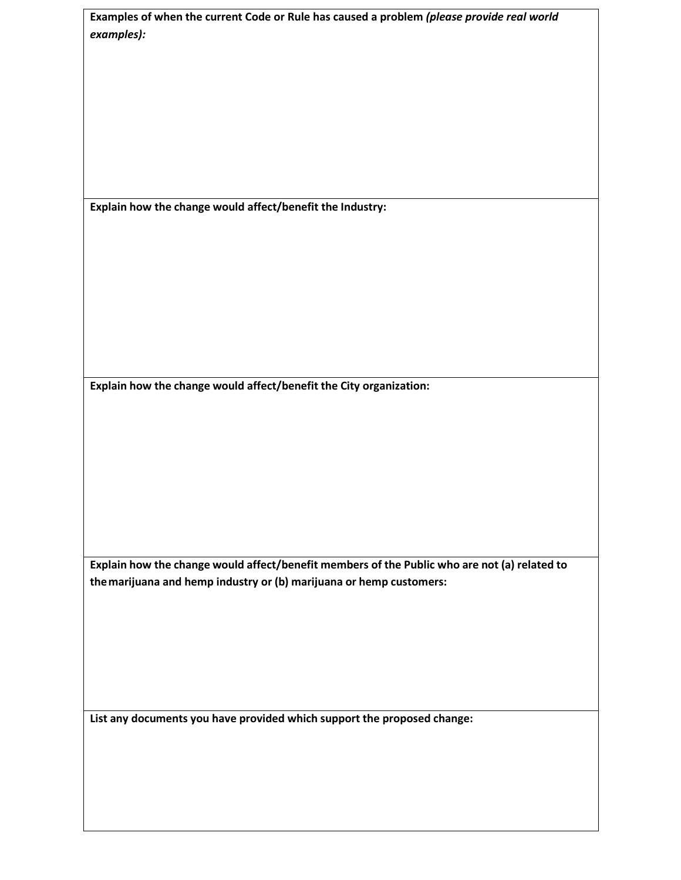| Examples of when the current Code or Rule has caused a problem (please provide real world    |
|----------------------------------------------------------------------------------------------|
| examples):                                                                                   |
|                                                                                              |
|                                                                                              |
|                                                                                              |
|                                                                                              |
|                                                                                              |
|                                                                                              |
|                                                                                              |
|                                                                                              |
|                                                                                              |
|                                                                                              |
|                                                                                              |
|                                                                                              |
|                                                                                              |
| Explain how the change would affect/benefit the Industry:                                    |
|                                                                                              |
|                                                                                              |
|                                                                                              |
|                                                                                              |
|                                                                                              |
|                                                                                              |
|                                                                                              |
|                                                                                              |
|                                                                                              |
|                                                                                              |
|                                                                                              |
|                                                                                              |
|                                                                                              |
| Explain how the change would affect/benefit the City organization:                           |
|                                                                                              |
|                                                                                              |
|                                                                                              |
|                                                                                              |
|                                                                                              |
|                                                                                              |
|                                                                                              |
|                                                                                              |
|                                                                                              |
|                                                                                              |
|                                                                                              |
|                                                                                              |
|                                                                                              |
| Explain how the change would affect/benefit members of the Public who are not (a) related to |
| the marijuana and hemp industry or (b) marijuana or hemp customers:                          |
|                                                                                              |
|                                                                                              |
|                                                                                              |
|                                                                                              |
|                                                                                              |
|                                                                                              |
|                                                                                              |
|                                                                                              |
|                                                                                              |
|                                                                                              |
| List any documents you have provided which support the proposed change:                      |
|                                                                                              |
|                                                                                              |
|                                                                                              |
|                                                                                              |
|                                                                                              |
|                                                                                              |
|                                                                                              |
|                                                                                              |